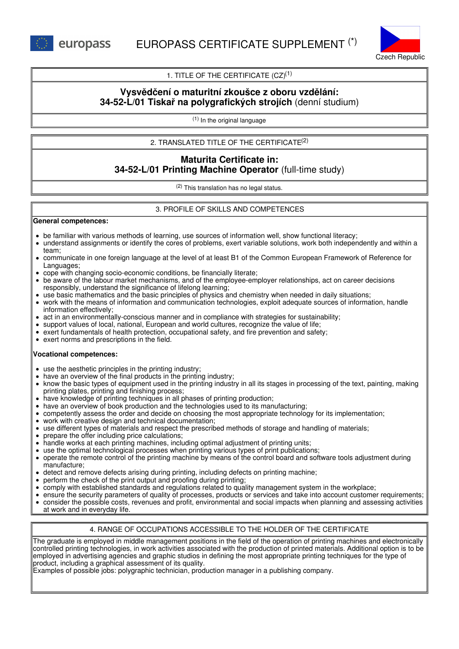

# 1. TITLE OF THE CERTIFICATE  $(CZ)^{(1)}$

# **Vysvědčení o maturitní zkoušce z oboru vzdělání: 34-52-L/01 Tiskař na polygrafických strojích** (denní studium)

(1) In the original language

## 2. TRANSLATED TITLE OF THE CERTIFICATE (2)

# **Maturita Certificate in: 34-52-L/01 Printing Machine Operator** (full-time study)

(2) This translation has no legal status.

## 3. PROFILE OF SKILLS AND COMPETENCES

#### **General competences:**

- be familiar with various methods of learning, use sources of information well, show functional literacy;
- understand assignments or identify the cores of problems, exert variable solutions, work both independently and within a team;
- communicate in one foreign language at the level of at least B1 of the Common European Framework of Reference for Languages;
- cope with changing socio-economic conditions, be financially literate;
- be aware of the labour market mechanisms, and of the employee-employer relationships, act on career decisions responsibly, understand the significance of lifelong learning;
- use basic mathematics and the basic principles of physics and chemistry when needed in daily situations;
- work with the means of information and communication technologies, exploit adequate sources of information, handle information effectively;
- act in an environmentally-conscious manner and in compliance with strategies for sustainability;
- support values of local, national, European and world cultures, recognize the value of life;
- exert fundamentals of health protection, occupational safety, and fire prevention and safety;
- exert norms and prescriptions in the field.

#### **Vocational competences:**

- use the aesthetic principles in the printing industry;
- have an overview of the final products in the printing industry;
- know the basic types of equipment used in the printing industry in all its stages in processing of the text, painting, making printing plates, printing and finishing process;
- have knowledge of printing techniques in all phases of printing production;
- have an overview of book production and the technologies used to its manufacturing;
- competently assess the order and decide on choosing the most appropriate technology for its implementation;
- work with creative design and technical documentation;
- use different types of materials and respect the prescribed methods of storage and handling of materials;
- prepare the offer including price calculations;
- handle works at each printing machines, including optimal adjustment of printing units;
- use the optimal technological processes when printing various types of print publications;
- operate the remote control of the printing machine by means of the control board and software tools adjustment during manufacture;
- detect and remove defects arising during printing, including defects on printing machine;
- perform the check of the print output and proofing during printing;
- comply with established standards and regulations related to quality management system in the workplace;
- ensure the security parameters of quality of processes, products or services and take into account customer requirements;
- consider the possible costs, revenues and profit, environmental and social impacts when planning and assessing activities at work and in everyday life.

## 4. RANGE OF OCCUPATIONS ACCESSIBLE TO THE HOLDER OF THE CERTIFICATE

The graduate is employed in middle management positions in the field of the operation of printing machines and electronically controlled printing technologies, in work activities associated with the production of printed materials. Additional option is to be employed in advertising agencies and graphic studios in defining the most appropriate printing techniques for the type of product, including a graphical assessment of its quality.

Examples of possible jobs: polygraphic technician, production manager in a publishing company.